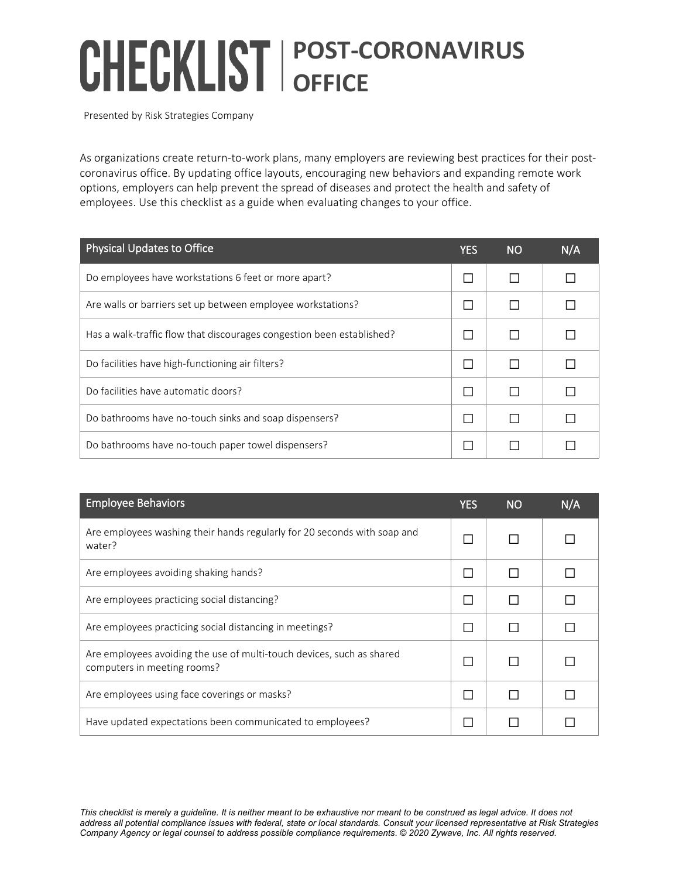## **POST-CORONAVIRUS OFFICE**

Presented by Risk Strategies Company

As organizations create return-to-work plans, many employers are reviewing best practices for their postcoronavirus office. By updating office layouts, encouraging new behaviors and expanding remote work options, employers can help prevent the spread of diseases and protect the health and safety of employees. Use this checklist as a guide when evaluating changes to your office.

| <b>Physical Updates to Office</b>                                     | YES | <b>NO</b> | N/A |
|-----------------------------------------------------------------------|-----|-----------|-----|
| Do employees have workstations 6 feet or more apart?                  |     |           |     |
| Are walls or barriers set up between employee workstations?           |     |           |     |
| Has a walk-traffic flow that discourages congestion been established? |     |           |     |
| Do facilities have high-functioning air filters?                      |     |           |     |
| Do facilities have automatic doors?                                   |     |           |     |
| Do bathrooms have no-touch sinks and soap dispensers?                 |     |           |     |
| Do bathrooms have no-touch paper towel dispensers?                    |     |           |     |

| <b>Employee Behaviors</b>                                                                            | <b>YES</b> | <b>NO</b> | N/A |
|------------------------------------------------------------------------------------------------------|------------|-----------|-----|
| Are employees washing their hands regularly for 20 seconds with soap and<br>water?                   |            |           |     |
| Are employees avoiding shaking hands?                                                                |            |           |     |
| Are employees practicing social distancing?                                                          |            |           |     |
| Are employees practicing social distancing in meetings?                                              |            |           |     |
| Are employees avoiding the use of multi-touch devices, such as shared<br>computers in meeting rooms? |            |           |     |
| Are employees using face coverings or masks?                                                         |            |           |     |
| Have updated expectations been communicated to employees?                                            |            |           |     |

*This checklist is merely a guideline. It is neither meant to be exhaustive nor meant to be construed as legal advice. It does not address all potential compliance issues with federal, state or local standards. Consult your licensed representative at Risk Strategies Company Agency or legal counsel to address possible compliance requirements*. *© 2020 Zywave, Inc. All rights reserved.*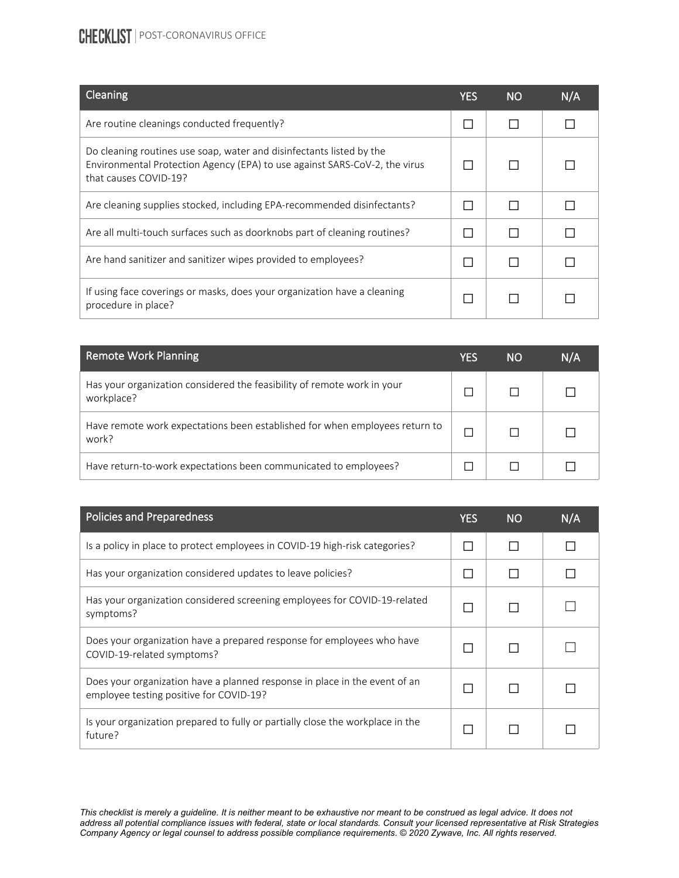## **CHECKLIST** | POST-CORONAVIRUS OFFICE

| Cleaning                                                                                                                                                                    | YES          | <b>NO</b> | N/A |
|-----------------------------------------------------------------------------------------------------------------------------------------------------------------------------|--------------|-----------|-----|
| Are routine cleanings conducted frequently?                                                                                                                                 | $\mathsf{L}$ |           |     |
| Do cleaning routines use soap, water and disinfectants listed by the<br>Environmental Protection Agency (EPA) to use against SARS-CoV-2, the virus<br>that causes COVID-19? |              |           |     |
| Are cleaning supplies stocked, including EPA-recommended disinfectants?                                                                                                     |              | П         |     |
| Are all multi-touch surfaces such as doorknobs part of cleaning routines?                                                                                                   |              | П         |     |
| Are hand sanitizer and sanitizer wipes provided to employees?                                                                                                               |              |           |     |
| If using face coverings or masks, does your organization have a cleaning<br>procedure in place?                                                                             |              |           |     |

| <b>Remote Work Planning</b>                                                           | YES | NΟ | N/A |
|---------------------------------------------------------------------------------------|-----|----|-----|
| Has your organization considered the feasibility of remote work in your<br>workplace? |     |    |     |
| Have remote work expectations been established for when employees return to<br>work?  |     |    |     |
| Have return-to-work expectations been communicated to employees?                      |     |    |     |

| <b>Policies and Preparedness</b>                                                                                      | YES | <b>NO</b> | N/A |
|-----------------------------------------------------------------------------------------------------------------------|-----|-----------|-----|
| Is a policy in place to protect employees in COVID-19 high-risk categories?                                           |     |           |     |
| Has your organization considered updates to leave policies?                                                           |     |           |     |
| Has your organization considered screening employees for COVID-19-related<br>symptoms?                                |     |           |     |
| Does your organization have a prepared response for employees who have<br>COVID-19-related symptoms?                  |     |           |     |
| Does your organization have a planned response in place in the event of an<br>employee testing positive for COVID-19? |     |           |     |
| Is your organization prepared to fully or partially close the workplace in the<br>future?                             |     |           |     |